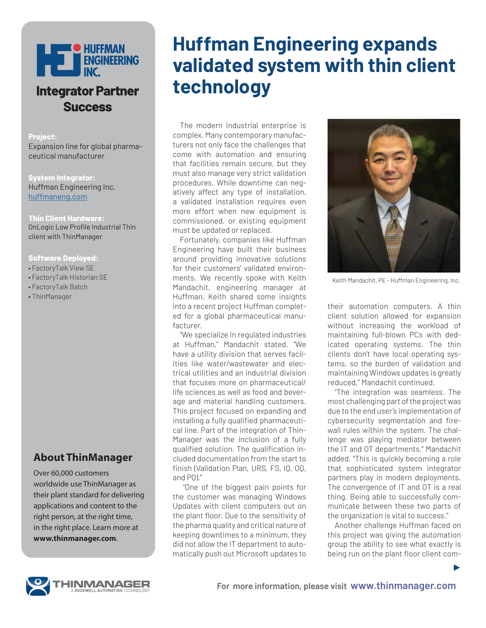

## **Integrator Partner Success**

**Project:**

Expansion line for global pharmaceutical manufacturer

#### **System Integrator:**

Huffman Engineering Inc. huffmaneng.com

#### **Thin Client Hardware:**

OnLogic Low Profile Industrial Thin client with ThinManager

#### **Software Deployed:**

- FactoryTalk View SE
- FactoryTalk Historian SE
- FactoryTalk Batch
- ThinManager

### **About ThinManager**

Over 60,000 customers worldwide use ThinManager as their plant standard for delivering applications and content to the right person, at the right time, in the right place. Learn more at **www.thinmanager.com**.

# **Huffman Engineering expands validated system with thin client technology**

The modern industrial enterprise is complex. Many contemporary manufacturers not only face the challenges that come with automation and ensuring that facilities remain secure, but they must also manage very strict validation procedures. While downtime can negatively affect any type of installation, a validated installation requires even more effort when new equipment is commissioned, or existing equipment must be updated or replaced.

Fortunately, companies like Huffman Engineering have built their business around providing innovative solutions for their customers' validated environments. We recently spoke with Keith Mandachit, engineering manager at Huffman. Keith shared some insights into a recent project Huffman completed for a global pharmaceutical manufacturer.

"We specialize in regulated industries at Huffman," Mandachit stated. "We have a utility division that serves facilities like water/wastewater and electrical utilities and an industrial division that focuses more on pharmaceutical/ life sciences as well as food and beverage and material handling customers. This project focused on expanding and installing a fully qualified pharmaceutical line. Part of the integration of Thin-Manager was the inclusion of a fully qualified solution. The qualification included documentation from the start to finish (Validation Plan, URS, FS, IQ, OQ, and PQ)."

 "One of the biggest pain points for the customer was managing Windows Updates with client computers out on the plant floor. Due to the sensitivity of the pharma quality and critical nature of keeping downtimes to a minimum, they did not allow the IT department to automatically push out Microsoft updates to



Keith Mandachit, PE - Huffman Engineering, Inc.

their automation computers. A thin client solution allowed for expansion without increasing the workload of maintaining full-blown PCs with dedicated operating systems. The thin clients don't have local operating systems, so the burden of validation and maintaining Windows updates is greatly reduced," Mandachit continued.

"The integration was seamless. The most challenging part of the project was due to the end user's implementation of cybersecurity segmentation and firewall rules within the system. The challenge was playing mediator between the IT and OT departments," Mandachit added. "This is quickly becoming a role that sophisticated system integrator partners play in modern deployments. The convergence of IT and OT is a real thing. Being able to successfully communicate between these two parts of the organization is vital to success."

Another challenge Huffman faced on this project was giving the automation group the ability to see what exactly is being run on the plant floor client com-